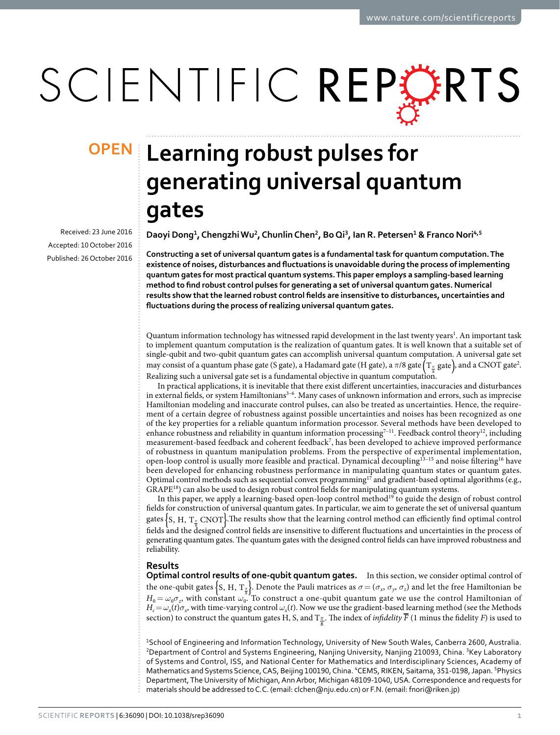# SCIENTIFIC REPORTS

Received: 23 June 2016 accepted: 10 October 2016 Published: 26 October 2016

## **Learning robust pulses for OPENgenerating universal quantum gates**

**Daoyi Dong<sup>1</sup>, ChengzhiWu<sup>2</sup>, ChunlinChen<sup>2</sup>, BoQi<sup>3</sup>, Ian R. Petersen<sup>1</sup> & Franco Nori<sup>4</sup>,<sup>5</sup>**

**Constructing a set of universal quantum gates is a fundamental task for quantum computation. The existence of noises, disturbances and fluctuations is unavoidable during the process of implementing quantum gates for most practical quantum systems. This paper employs a sampling-based learning method to find robust control pulses for generating a set of universal quantum gates. Numerical results show that the learned robust control fields are insensitive to disturbances, uncertainties and fluctuations during the process of realizing universal quantum gates.**

Quantum information technology has witnessed rapid development in the last twenty years<sup>[1](#page-7-0)</sup>. An important task to implement quantum computation is the realization of quantum gates. It is well known that a suitable set of single-qubit and two-qubit quantum gates can accomplish universal quantum computation. A universal gate set may consist of a quantum phase gate (S gate), a Hadamard gate (H gate), a  $\pi/8$  gate  $\left(T_{\frac{\pi}{8}}\right)$  and a CNOT gate<sup>[2](#page-7-1)</sup>. Realizing such a universal gate set is a fundamental objective in quantum computation.

In practical applications, it is inevitable that there exist different uncertainties, inaccuracies and disturbances in external fields, or system Hamiltonians<sup>3-6</sup>. Many cases of unknown information and errors, such as imprecise Hamiltonian modeling and inaccurate control pulses, can also be treated as uncertainties. Hence, the requirement of a certain degree of robustness against possible uncertainties and noises has been recognized as one of the key properties for a reliable quantum information processor. Several methods have been developed to enhance robustness and reliability in quantum information processing<sup>7-11</sup>. Feedback control theory<sup>[12](#page-8-0)</sup>, including measurement-based feedback and coherent feedback<sup>[7](#page-7-3)</sup>, has been developed to achieve improved performance of robustness in quantum manipulation problems. From the perspective of experimental implementation, open-loop control is usually more feasible and practical. Dynamical decoupling<sup>13-15</sup> and noise filtering<sup>16</sup> have been developed for enhancing robustness performance in manipulating quantum states or quantum gates. Optimal control methods such as sequential convex programming<sup>[17](#page-8-3)</sup> and gradient-based optimal algorithms (e.g., GRAPE<sup>18</sup>) can also be used to design robust control fields for manipulating quantum systems.

In this paper, we apply a learning-based open-loop control method<sup>19</sup> to guide the design of robust control fields for construction of universal quantum gates. In particular, we aim to generate the set of universal quantum gates {S, H, T<sub>π</sub> CNOT}. The results show that the learning control method can efficiently find optimal control fields and the designed control fields are insensitive to different fluctuations and uncertainties in the process of generating quantum gates. The quantum gates with the designed control fields can have improved robustness and reliability.

### **Results**

**Optimal control results of one-qubit quantum gates.** In this section, we consider optimal control of the one-qubit gates  $\left\{S, H, T_{\frac{\pi}{8}}\right\}$ . Denote the Pauli matrices as  $\sigma = (\sigma_x, \sigma_y, \sigma_z)$  and let the free Hamiltonian be  $H_0 = \omega_0 \sigma_z$ , with constant  $\omega_0$ . To construct a one-qubit quantum gate we use the control Hamiltonian of  $H_c = \omega_x(t)\sigma_x$ , with time-varying control  $\omega_x(t)$ . Now we use the gradient-based learning method (see the Methods section) to construct the quantum gates H, S, and  $T_{\frac{\pi}{8}}$ . The index of *infidelity F* (1 minus the fidelity *F*) is used to

1School of Engineering and Information Technology, University of New South Wales, Canberra 2600, Australia. <sup>2</sup>Department of Control and Systems Engineering, Nanjing University, Nanjing 210093, China. <sup>3</sup>Key Laboratory of Systems and Control, ISS, and National Center for Mathematics and Interdisciplinary Sciences, Academy of Mathematics and Systems Science, CAS, Beijing 100190, China. <sup>4</sup>CEMS, RIKEN, Saitama, 351-0198, Japan. <sup>5</sup>Physics Department, The University of Michigan, Ann Arbor, Michigan 48109-1040, USA. Correspondence and requests for materials should be addressed to C.C. (email: [clchen@nju.edu.cn\)](mailto:clchen@nju.edu.cn) or F.N. (email: [fnori@riken.jp](mailto:fnori@riken.jp))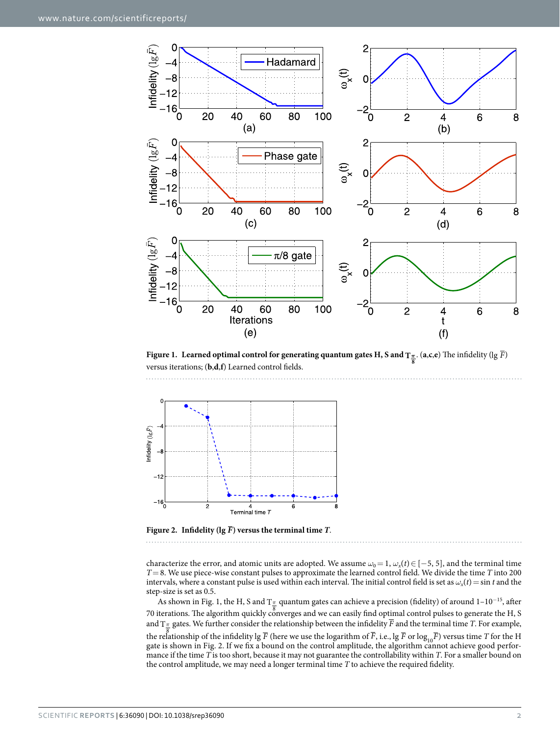

<span id="page-1-0"></span>**Figure 1.** Learned optimal control for generating quantum gates H, S and  $T_{\frac{\pi}{8}}$ . (a,c,e) The infidelity (lg *F*) versus iterations; (**b**,**d**,**f**) Learned control fields.



<span id="page-1-1"></span>Figure 2. Infidelity ( $\lg \overline{F}$ ) versus the terminal time *T*.

characterize the error, and atomic units are adopted. We assume  $\omega_0 = 1$ ,  $\omega_x(t) \in [-5, 5]$ , and the terminal time *T*=8. We use piece-wise constant pulses to approximate the learned control field. We divide the time *T* into 200 intervals, where a constant pulse is used within each interval. The initial control field is set as  $\omega_x(t) = \sin t$  and the step-size is set as 0.5.

As shown in [Fig. 1,](#page-1-0) the H, S and T<sub>∏</sub> quantum gates can achieve a precision (fidelity) of around 1–10<sup>-15</sup>, after 70 iterations. The algorithm quickly converges and we can easily find optimal control pulses to generate the H, S and T*<sup>π</sup>* gates. We further consider the relationship between the infidelity *F* and the terminal time *T*. For example, the relationship of the infidelity lg  $\overline{F}$  (here we use the logarithm of  $\overline{F}$ , i.e., lg  $\overline{F}$  or log<sub>10</sub> $\overline{F}$ ) versus time *T* for the H gate is shown in [Fig. 2](#page-1-1). If we fix a bound on the control amplitude, the algorithm cannot achieve good performance if the time *T* is too short, because it may not guarantee the controllability within *T*. For a smaller bound on the control amplitude, we may need a longer terminal time *T* to achieve the required fidelity.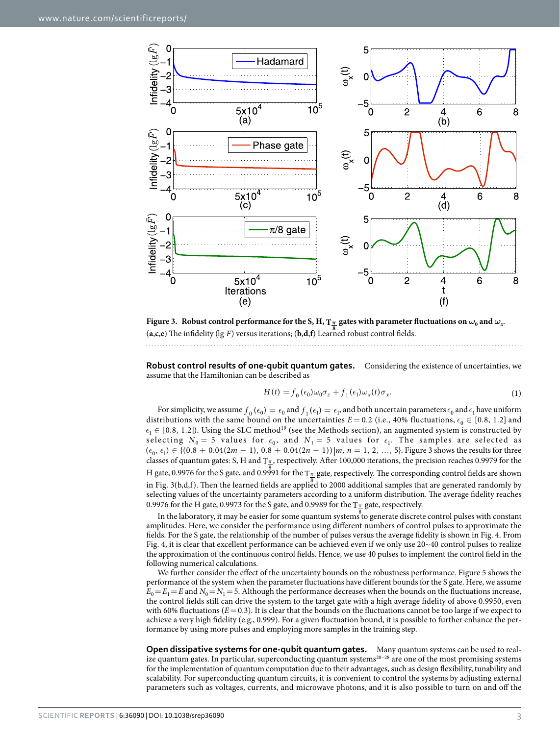

<span id="page-2-0"></span>**Figure 3.** Robust control performance for the S, H, T $_{\frac{\pi}{2}}$  gates with parameter fluctuations on  $\omega_0$  and  $\omega_x$ .  $\mathbf{a}$ , $\mathbf{c}$ , $\mathbf{e}$ ) The infidelity (lg  $\overline{F}$ ) versus iterations;  $(\mathbf{b}, \mathbf{d}, \mathbf{f})$  Learned robust control fields.

**Robust control results of one-qubit quantum gates.** Considering the existence of uncertainties, we assume that the Hamiltonian can be described as

$$
H(t) = f_0(\epsilon_0)\omega_0\sigma_z + f_1(\epsilon_1)\omega_x(t)\sigma_x.
$$
 (1)

For simplicity, we assume  $f_0(\epsilon_0) = \epsilon_0$  and  $f_1(\epsilon_1) = \epsilon_1$ , and both uncertain parameters  $\epsilon_0$  and  $\epsilon_1$  have uniform distributions with the same bound on the uncertainties  $E = 0.2$  (i.e., 40% fluctuations,  $\epsilon_0 \in [0.8, 1.2]$  and  $\epsilon_1 \in [0.8, 1.2]$ ). Using the SLC method<sup>19</sup> (see the Methods section), an augmented system is constructed by selecting  $N_0 = 5$  values for  $\epsilon_0$ , and  $N_1 = 5$  values for  $\epsilon_1$ . The samples are selected as  $(\epsilon_0, \epsilon_1) \in \{(0.8 + 0.04(2m - 1), 0.8 + 0.04(2n - 1)) | m, n = 1, 2, ..., 5\}$ . [Figure 3](#page-2-0) shows the results for three classes of quantum gates: S, H and T*<sup>π</sup>* , respectively. After 100,000 iterations, the precision reaches 0.9979 for the H gate, 0.9976 for the S gate, and 0.9991 for the T<sub>∏</sub> gate, respectively. The corresponding control fields are shown in [Fig. 3\(b,d,f\).](#page-2-0) Then the learned fields are applied to 2000 additional samples that are generated randomly by selecting values of the uncertainty parameters according to a uniform distribution. The average fidelity reaches 0.9976 for the H gate, 0.9973 for the S gate, and 0.9989 for the T*<sup>π</sup>* gate, respectively.

In the laboratory, it may be easier for some quantum systems to generate discrete control pulses with constant amplitudes. Here, we consider the performance using different numbers of control pulses to approximate the fields. For the S gate, the relationship of the number of pulses versus the average fidelity is shown in [Fig. 4.](#page-3-0) From [Fig. 4,](#page-3-0) it is clear that excellent performance can be achieved even if we only use 20~40 control pulses to realize the approximation of the continuous control fields. Hence, we use 40 pulses to implement the control field in the following numerical calculations.

We further consider the effect of the uncertainty bounds on the robustness performance. [Figure 5](#page-3-1) shows the performance of the system when the parameter fluctuations have different bounds for the S gate. Here, we assume  $E_0=E_1=E$  and  $N_0=N_1=5$ . Although the performance decreases when the bounds on the fluctuations increase, the control fields still can drive the system to the target gate with a high average fidelity of above 0.9950, even with 60% fluctuations  $(E = 0.3)$ . It is clear that the bounds on the fluctuations cannot be too large if we expect to achieve a very high fidelity (e.g., 0.999). For a given fluctuation bound, it is possible to further enhance the performance by using more pulses and employing more samples in the training step.

**Open dissipative systems for one-qubit quantum gates.** Many quantum systems can be used to realize quantum gates. In particular, superconducting quantum systems<sup>20-28</sup> are one of the most promising systems for the implementation of quantum computation due to their advantages, such as design flexibility, tunability and scalability. For superconducting quantum circuits, it is convenient to control the systems by adjusting external parameters such as voltages, currents, and microwave photons, and it is also possible to turn on and off the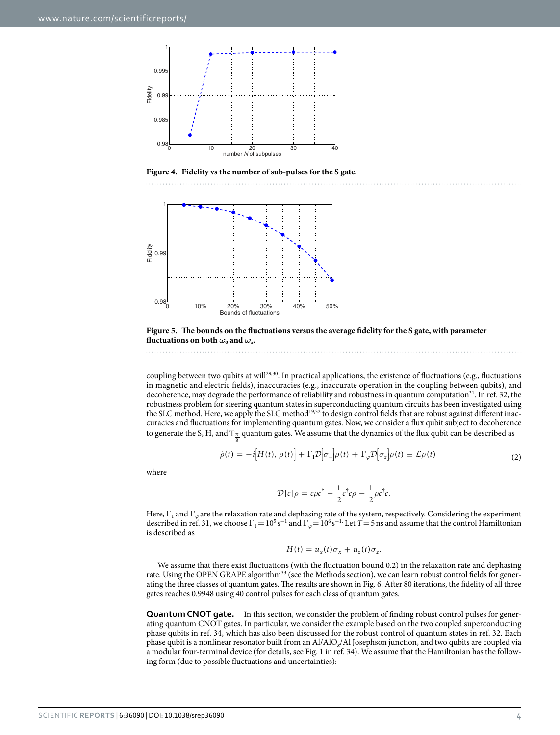

<span id="page-3-0"></span>**Figure 4. Fidelity vs the number of sub-pulses for the S gate.** 



8

<span id="page-3-1"></span>**Figure 5. The bounds on the fluctuations versus the average fidelity for the S gate, with parameter fluctuations on both**  $\omega_0$  **and**  $\omega_$ *x***.** 

coupling between two qubits at will<sup>[29,](#page-8-7)30</sup>. In practical applications, the existence of fluctuations (e.g., fluctuations in magnetic and electric fields), inaccuracies (e.g., inaccurate operation in the coupling between qubits), and decoherence, may degrade the performance of reliability and robustness in quantum computation<sup>31</sup>. In ref. [32,](#page-8-10) the robustness problem for steering quantum states in superconducting quantum circuits has been investigated using the SLC method. Here, we apply the SLC metho[d19](#page-8-5)[,32](#page-8-10) to design control fields that are robust against different inaccuracies and fluctuations for implementing quantum gates. Now, we consider a flux qubit subject to decoherence to generate the S, H, and T<sub>π.</sub> quantum gates. We assume that the dynamics of the flux qubit can be described as

$$
\dot{\rho}(t) = -i[H(t), \rho(t)] + \Gamma_1 \mathcal{D}[\sigma_-] \rho(t) + \Gamma_\varphi \mathcal{D}[\sigma_z] \rho(t) \equiv \mathcal{L}\rho(t)
$$
\n(2)

where

$$
\mathcal{D}[c]\rho = c\rho c^{\dagger} - \frac{1}{2}c^{\dagger}c\rho - \frac{1}{2}\rho c^{\dagger}c.
$$

Here, Γ<sub>1</sub> and Γ<sub>ω</sub> are the relaxation rate and dephasing rate of the system, respectively. Considering the experiment described in ref. [31,](#page-8-9) we choose  $\Gamma_1 = 10^5 s^{-1}$  and  $\Gamma_\varphi = 10^6 s^{-1}$ . Let  $T = 5$  ns and assume that the control Hamiltonian is described as

$$
H(t) = u_x(t)\sigma_x + u_z(t)\sigma_z.
$$

We assume that there exist fluctuations (with the fluctuation bound 0.2) in the relaxation rate and dephasing rate. Using the OPEN GRAPE algorithm<sup>33</sup> (see the Methods section), we can learn robust control fields for generating the three classes of quantum gates. The results are shown in [Fig. 6.](#page-4-0) After 80 iterations, the fidelity of all three gates reaches 0.9948 using 40 control pulses for each class of quantum gates.

**Quantum CNOT gate.** In this section, we consider the problem of finding robust control pulses for generating quantum CNOT gates. In particular, we consider the example based on the two coupled superconducting phase qubits in ref. [34,](#page-8-12) which has also been discussed for the robust control of quantum states in ref. [32](#page-8-10). Each phase qubit is a nonlinear resonator built from an Al/AlO*x*/Al Josephson junction, and two qubits are coupled via a modular four-terminal device (for details, see [Fig. 1](#page-1-0) in ref. [34](#page-8-12)). We assume that the Hamiltonian has the following form (due to possible fluctuations and uncertainties):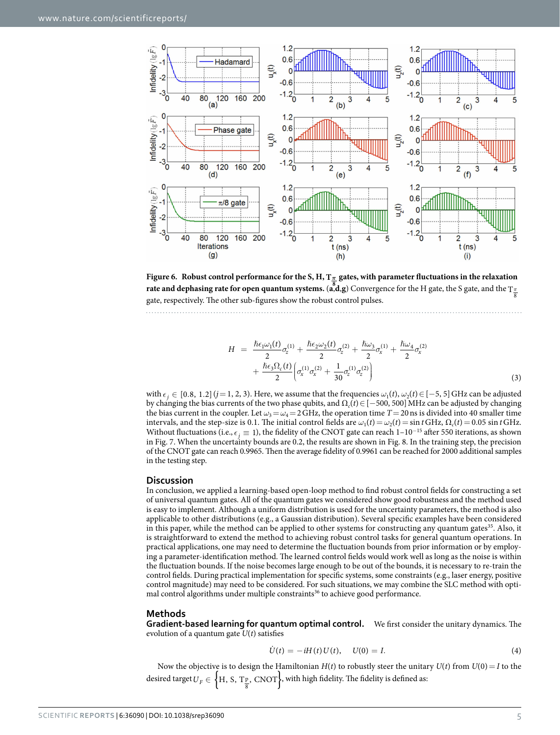

<span id="page-4-0"></span>**Figure 6. Robust control performance for the S, H, T***<sup>π</sup>* **gates, with parameter fluctuations in the relaxation 8 rate and dephasing rate for open quantum systems.** (**a**,**d**,**g**) Convergence for the H gate, the S gate, and the T*<sup>π</sup>* gate, respectively. The other sub-figures show the robust control pulses.

$$
H = \frac{\hbar \epsilon_1 \omega_1(t)}{2} \sigma_z^{(1)} + \frac{\hbar \epsilon_2 \omega_2(t)}{2} \sigma_z^{(2)} + \frac{\hbar \omega_3}{2} \sigma_x^{(1)} + \frac{\hbar \omega_4}{2} \sigma_x^{(2)} + \frac{\hbar \epsilon_3 \Omega_c(t)}{2} \left( \sigma_x^{(1)} \sigma_x^{(2)} + \frac{1}{30} \sigma_z^{(1)} \sigma_z^{(2)} \right)
$$
\n(3)

with  $\epsilon_i \in [0.8, 1.2]$  ( $j=1, 2, 3$ ). Here, we assume that the frequencies  $\omega_1(t), \omega_2(t) \in [-5, 5]$  GHz can be adjusted by changing the bias currents of the two phase qubits, and Ω*c*(*t*)∈[−500, 500]MHz can be adjusted by changing the bias current in the coupler. Let  $\omega_3 = \omega_4 = 2 \text{ GHz}$ , the operation time  $T = 20 \text{ ns}$  is divided into 40 smaller time intervals, and the step-size is 0.1. The initial control fields are  $\omega_1(t) = \omega_2(t) = \sin t \text{ GHz}$ ,  $\Omega_c(t) = 0.05 \sin t \text{ GHz}$ . Without fluctuations (i.e.,  $\epsilon_j \equiv 1$ ), the fidelity of the CNOT gate can reach 1–10<sup>-15</sup> after 550 iterations, as shown in [Fig. 7.](#page-5-0) When the uncertainty bounds are 0.2, the results are shown in [Fig. 8.](#page-6-0) In the training step, the precision of the CNOT gate can reach 0.9965. Then the average fidelity of 0.9961 can be reached for 2000 additional samples in the testing step.

#### **Discussion**

In conclusion, we applied a learning-based open-loop method to find robust control fields for constructing a set of universal quantum gates. All of the quantum gates we considered show good robustness and the method used is easy to implement. Although a uniform distribution is used for the uncertainty parameters, the method is also applicable to other distributions (e.g., a Gaussian distribution). Several specific examples have been considered in this paper, while the method can be applied to other systems for constructing any quantum gates $35$ . Also, it is straightforward to extend the method to achieving robust control tasks for general quantum operations. In practical applications, one may need to determine the fluctuation bounds from prior information or by employing a parameter-identification method. The learned control fields would work well as long as the noise is within the fluctuation bounds. If the noise becomes large enough to be out of the bounds, it is necessary to re-train the control fields. During practical implementation for specific systems, some constraints (e.g., laser energy, positive control magnitude) may need to be considered. For such situations, we may combine the SLC method with optimal control algorithms under multiple constraints<sup>36</sup> to achieve good performance.

#### **Methods**

**Gradient-based learning for quantum optimal control.** We first consider the unitary dynamics. The evolution of a quantum gate *U*(*t*) satisfies

$$
\dot{U}(t) = -iH(t)U(t), \quad U(0) = I.
$$
\n(4)

Now the objective is to design the Hamiltonian  $H(t)$  to robustly steer the unitary  $U(t)$  from  $U(0) = I$  to the desired target  $U_F \in \left\{ \mathrm{H,~S,~T_{\frac{\mathrm{p}}{8}},~CNOT} \right\}$ , with high fidelity. The fidelity is defined as: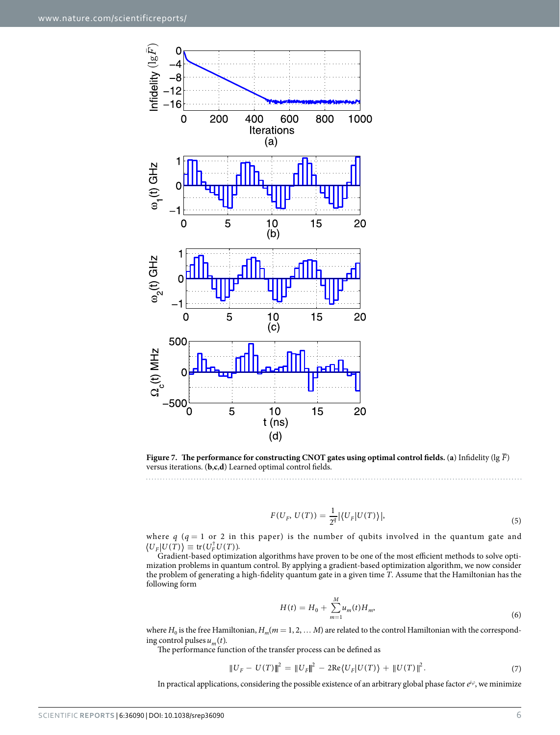

<span id="page-5-0"></span>**Figure 7.** The performance for constructing CNOT gates using optimal control fields. (a) Infidelity ( $\lg \bar{F}$ ) versus iterations. (**b**,**c**,**d**) Learned optimal control fields.

$$
F(U_F, U(T)) = \frac{1}{2^q} | \langle U_F | U(T) \rangle |, \tag{5}
$$

where  $q$  ( $q = 1$  or 2 in this paper) is the number of qubits involved in the quantum gate and  $\langle U_F | U(T) \rangle \equiv \text{tr}(U_F^{\dagger} U(T)).$ 

Gradient-based optimization algorithms have proven to be one of the most efficient methods to solve optimization problems in quantum control. By applying a gradient-based optimization algorithm, we now consider the problem of generating a high-fidelity quantum gate in a given time *T*. Assume that the Hamiltonian has the following form

$$
H(t) = H_0 + \sum_{m=1}^{M} u_m(t) H_m,
$$
\n(6)

where  $H_0$  is the free Hamiltonian,  $H_m(m = 1, 2, \dots M)$  are related to the control Hamiltonian with the corresponding control pulses  $u_m(t)$ .

The performance function of the transfer process can be defined as

$$
||U_F - U(T)||^2 = ||U_F||^2 - 2\text{Re}\langle U_F|U(T)\rangle + ||U(T)||^2.
$$
\n(7)

In practical applications, considering the possible existence of an arbitrary global phase factor  $e^{i\varphi}$ , we minimize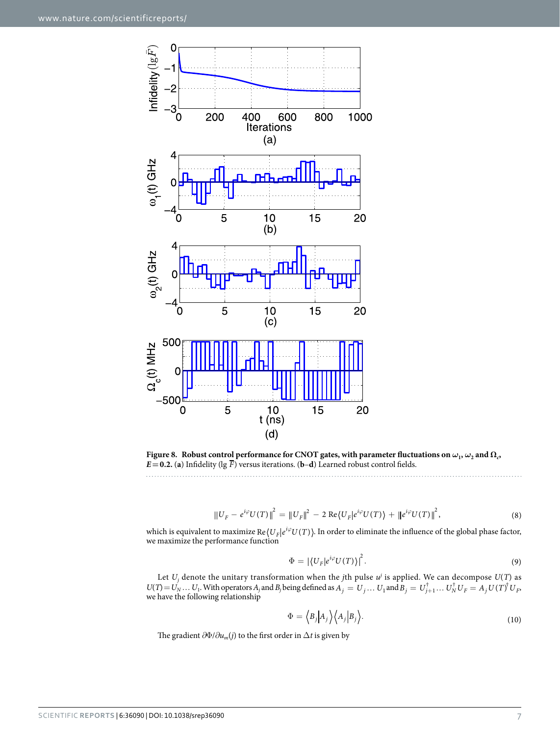

<span id="page-6-0"></span>**Figure 8.** Robust control performance for CNOT gates, with parameter fluctuations on  $\omega_1$ ,  $\omega_2$  and  $\Omega_c$  $E = 0.2$ . (a) Infidelity ( $\lg \overline{F}$ ) versus iterations. (**b**–**d**) Learned robust control fields.

$$
||U_F - e^{i\varphi} U(T)||^2 = ||U_F||^2 - 2 \operatorname{Re} \langle U_F | e^{i\varphi} U(T) \rangle + ||e^{i\varphi} U(T)||^2,
$$
\n(8)

which is equivalent to maximize  $Re\langle U_F | e^{i\varphi} U(T) \rangle$ . In order to eliminate the influence of the global phase factor, we maximize the performance function

$$
\Phi = \left| \left\langle U_F | e^{i\varphi} U(T) \right\rangle \right|^2. \tag{9}
$$

Let  $U_j$  denote the unitary transformation when the *j*th pulse  $u^j$  is applied. We can decompose  $U(T)$  as  $U(T) = U_N \dots U_1$ . With operators  $A_j$  and  $B_j$  being defined as  $A_j = U_j \dots U_1$  and  $B_j = U_{j+1}^{\dagger} \dots U_N^{\dagger} U_F = A_j U(T)^{\dagger} U_F$ . we have the following relationship

$$
\Phi = \langle B_j | A_j \rangle \langle A_j | B_j \rangle. \tag{10}
$$

The gradient  $\partial \Phi / \partial u_m(j)$  to the first order in  $\Delta t$  is given by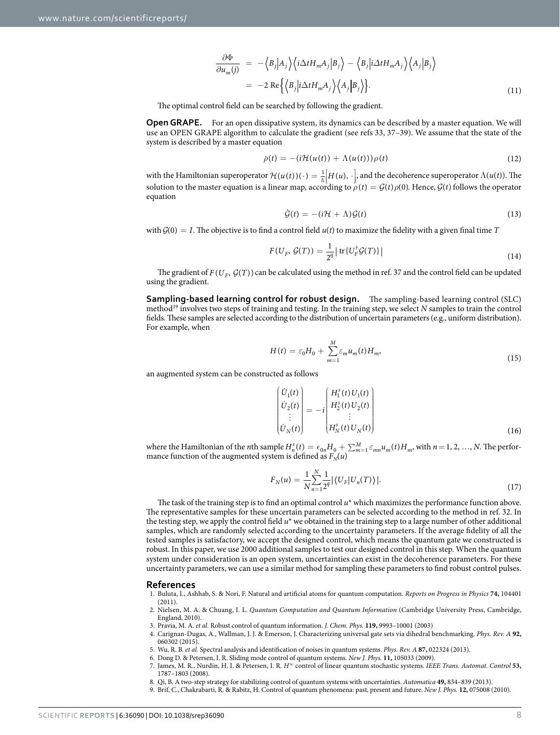$$
\frac{\partial \Phi}{\partial u_m(j)} = -\langle B_j | A_j \rangle \langle i \Delta t H_m A_j | B_j \rangle - \langle B_j | i \Delta t H_m A_j \rangle \langle A_j | B_j \rangle \n= -2 \text{ Re } \{ \langle B_j | i \Delta t H_m A_j \rangle \langle A_j | B_j \rangle \}.
$$
\n(11)

The optimal control field can be searched by following the gradient.

**Open GRAPE.** For an open dissipative system, its dynamics can be described by a master equation. We will use an OPEN GRAPE algorithm to calculate the gradient (see refs [33](#page-8-11), [37–39](#page-8-15)). We assume that the state of the system is described by a master equation

$$
\dot{\rho}(t) = -\left(i\mathcal{H}(u(t)) + \Lambda(u(t))\right)\rho(t) \tag{12}
$$

with the Hamiltonian superoperator  $\mathcal{H}(u(t))(\cdot) = \frac{1}{\hbar} \Big[ H(u), \cdot \Big]$ , and the decoherence superoperator  $\Lambda(u(t))$ . The Į  $\overline{\phantom{a}}$ solution to the master equation is a linear map, according to  $\rho(t) = \mathcal{G}(t)\rho(0)$ . Hence,  $\mathcal{G}(t)$  follows the operator equation

$$
\dot{\mathcal{G}}(t) = -(i\mathcal{H} + \Lambda)\mathcal{G}(t) \tag{13}
$$

with  $G(0) = I$ . The objective is to find a control field  $u(t)$  to maximize the fidelity with a given final time *T* 

$$
F(U_F, \mathcal{G}(T)) = \frac{1}{2^q} \left| \operatorname{tr} \{ U_F^{\dagger} \mathcal{G}(T) \} \right| \tag{14}
$$

The gradient of  $F(U_F, \mathcal{G}(T))$  can be calculated using the method in ref. [37](#page-8-15) and the control field can be updated using the gradient.

**Sampling-based learning control for robust design.** The sampling-based learning control (SLC) method[19](#page-8-5) involves two steps of training and testing. In the training step, we select *N* samples to train the control fields. These samples are selected according to the distribution of uncertain parameters (e.g., uniform distribution). For example, when

$$
H(t) = \varepsilon_0 H_0 + \sum_{m=1}^{M} \varepsilon_m u_m(t) H_m,
$$
\n(15)

an augmented system can be constructed as follows

$$
\begin{pmatrix} \dot{U}_{1}(t) \\ \dot{U}_{2}(t) \\ \vdots \\ \dot{U}_{N}(t) \end{pmatrix} = -i \begin{pmatrix} H_{1}^{s}(t) U_{1}(t) \\ H_{2}^{s}(t) U_{2}(t) \\ \vdots \\ H_{N}^{s}(t) U_{N}(t) \end{pmatrix}
$$
\n(16)

where the Hamiltonian of the *n*th sample  $H_n^s(t) = \epsilon_{0n}H_0 + \sum_{m=1}^M \epsilon_{mn}u_m(t)H_m$ , with  $n = 1, 2, ..., N$ . The performance function of the augmented system is defined as  $F_N(u)$ 

$$
F_N(u) = \frac{1}{N} \sum_{n=1}^{N} \frac{1}{2^q} |\langle U_F | U_n(T) \rangle|.
$$
\n(17)

The task of the training step is to find an optimal control *u*\* which maximizes the performance function above. The representative samples for these uncertain parameters can be selected according to the method in ref. [32.](#page-8-10) In the testing step, we apply the control field *u*\* we obtained in the training step to a large number of other additional samples, which are randomly selected according to the uncertainty parameters. If the average fidelity of all the tested samples is satisfactory, we accept the designed control, which means the quantum gate we constructed is robust. In this paper, we use 2000 additional samples to test our designed control in this step. When the quantum system under consideration is an open system, uncertainties can exist in the decoherence parameters. For these uncertainty parameters, we can use a similar method for sampling these parameters to find robust control pulses.

#### **References**

- <span id="page-7-0"></span>1. Buluta, I., Ashhab, S. & Nori, F. Natural and artificial atoms for quantum computation. *Reports on Progress in Physics* **74,** 104401 (2011).
- <span id="page-7-1"></span>2. Nielsen, M. A. & Chuang, I. L. *Quantum Computation and Quantum Information* (Cambridge University Press, Cambridge, England, 2010).
- <span id="page-7-2"></span>3. Pravia, M. A. *et al.* Robust control of quantum information. *J. Chem. Phys.* **119,** 9993–10001 (2003)
- 4. Carignan-Dugas, A., Wallman, J. J. & Emerson, J. Characterizing universal gate sets via dihedral benchmarking. *Phys. Rev. A* **92,** 060302 (2015).
- 5. Wu, R. B. *et al.* Spectral analysis and identification of noises in quantum systems. *Phys. Rev. A* **87,** 022324 (2013).
- 6. Dong D. & Petersen, I. R. Sliding mode control of quantum systems. *New J. Phys.* **11,** 105033 (2009).
- <span id="page-7-3"></span>7. James, M. R., Nurdin, H. I. & Petersen, I. R. *H*<sup>∞</sup> control of linear quantum stochastic systems. *IEEE Trans. Automat. Control* **53,** 1787–1803 (2008).
- 8. Qi, B. A two-step strategy for stabilizing control of quantum systems with uncertainties. *Automatica* **49,** 834–839 (2013).
- 9. Brif, C., Chakrabarti, R. & Rabitz, H. Control of quantum phenomena: past, present and future. *New J. Phys.* **12,** 075008 (2010).